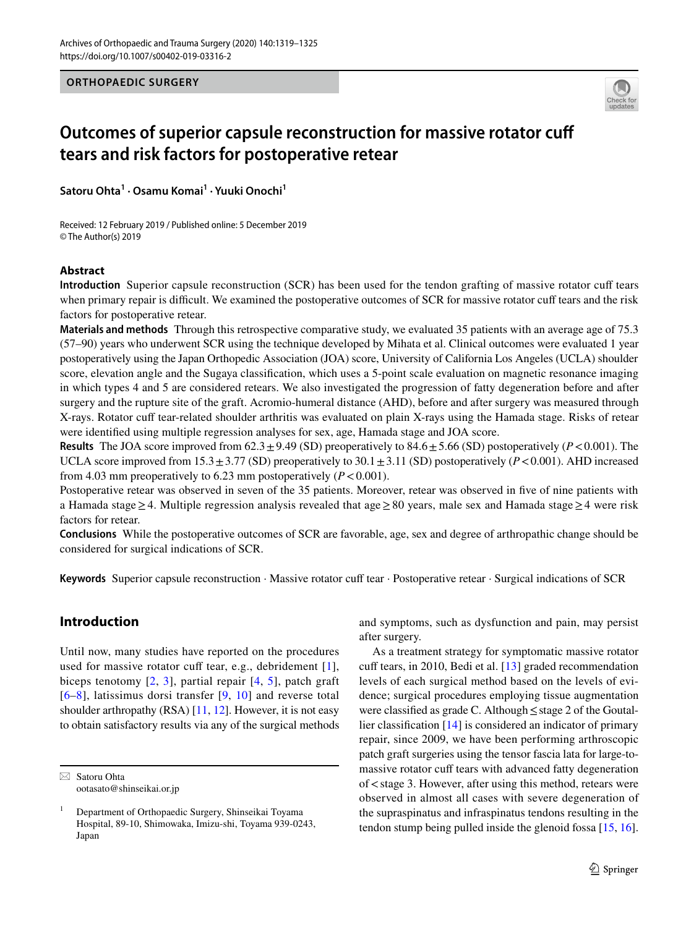**ORTHOPAEDIC SURGERY**



# **Outcomes of superior capsule reconstruction for massive rotator cuff tears and risk factors for postoperative retear**

**Satoru Ohta<sup>1</sup> · Osamu Komai1 · Yuuki Onochi1**

Received: 12 February 2019 / Published online: 5 December 2019 © The Author(s) 2019

# **Abstract**

**Introduction** Superior capsule reconstruction (SCR) has been used for the tendon grafting of massive rotator cuff tears when primary repair is difficult. We examined the postoperative outcomes of SCR for massive rotator cuff tears and the risk factors for postoperative retear.

**Materials and methods** Through this retrospective comparative study, we evaluated 35 patients with an average age of 75.3 (57–90) years who underwent SCR using the technique developed by Mihata et al. Clinical outcomes were evaluated 1 year postoperatively using the Japan Orthopedic Association (JOA) score, University of California Los Angeles (UCLA) shoulder score, elevation angle and the Sugaya classifcation, which uses a 5-point scale evaluation on magnetic resonance imaging in which types 4 and 5 are considered retears. We also investigated the progression of fatty degeneration before and after surgery and the rupture site of the graft. Acromio-humeral distance (AHD), before and after surgery was measured through X-rays. Rotator cuff tear-related shoulder arthritis was evaluated on plain X-rays using the Hamada stage. Risks of retear were identifed using multiple regression analyses for sex, age, Hamada stage and JOA score.

**Results** The JOA score improved from  $62.3 \pm 9.49$  (SD) preoperatively to  $84.6 \pm 5.66$  (SD) postoperatively ( $P < 0.001$ ). The UCLA score improved from  $15.3 \pm 3.77$  (SD) preoperatively to  $30.1 \pm 3.11$  (SD) postoperatively (*P*<0.001). AHD increased from 4.03 mm preoperatively to 6.23 mm postoperatively  $(P<0.001)$ .

Postoperative retear was observed in seven of the 35 patients. Moreover, retear was observed in five of nine patients with a Hamada stage≥4. Multiple regression analysis revealed that age≥80 years, male sex and Hamada stage≥4 were risk factors for retear.

**Conclusions** While the postoperative outcomes of SCR are favorable, age, sex and degree of arthropathic change should be considered for surgical indications of SCR.

Keywords Superior capsule reconstruction · Massive rotator cuff tear · Postoperative retear · Surgical indications of SCR

# **Introduction**

Until now, many studies have reported on the procedures used for massive rotator cuff tear, e.g., debridement  $[1]$  $[1]$  $[1]$ , biceps tenotomy  $[2, 3]$  $[2, 3]$  $[2, 3]$  $[2, 3]$  $[2, 3]$ , partial repair  $[4, 5]$  $[4, 5]$  $[4, 5]$  $[4, 5]$  $[4, 5]$ , patch graft [[6–](#page-5-5)[8](#page-5-6)], latissimus dorsi transfer [\[9,](#page-6-0) [10](#page-6-1)] and reverse total shoulder arthropathy (RSA) [\[11](#page-6-2), [12\]](#page-6-3). However, it is not easy to obtain satisfactory results via any of the surgical methods and symptoms, such as dysfunction and pain, may persist after surgery.

As a treatment strategy for symptomatic massive rotator cuff tears, in 2010, Bedi et al.  $[13]$  $[13]$  graded recommendation levels of each surgical method based on the levels of evidence; surgical procedures employing tissue augmentation were classifed as grade C. Although≤stage 2 of the Goutallier classifcation [\[14](#page-6-5)] is considered an indicator of primary repair, since 2009, we have been performing arthroscopic patch graft surgeries using the tensor fascia lata for large-tomassive rotator cuff tears with advanced fatty degeneration of  $\lt$  stage 3. However, after using this method, retears were observed in almost all cases with severe degeneration of the supraspinatus and infraspinatus tendons resulting in the tendon stump being pulled inside the glenoid fossa [[15,](#page-6-6) [16](#page-6-7)].

 $\boxtimes$  Satoru Ohta ootasato@shinseikai.or.jp

<sup>1</sup> Department of Orthopaedic Surgery, Shinseikai Toyama Hospital, 89-10, Shimowaka, Imizu-shi, Toyama 939-0243, Japan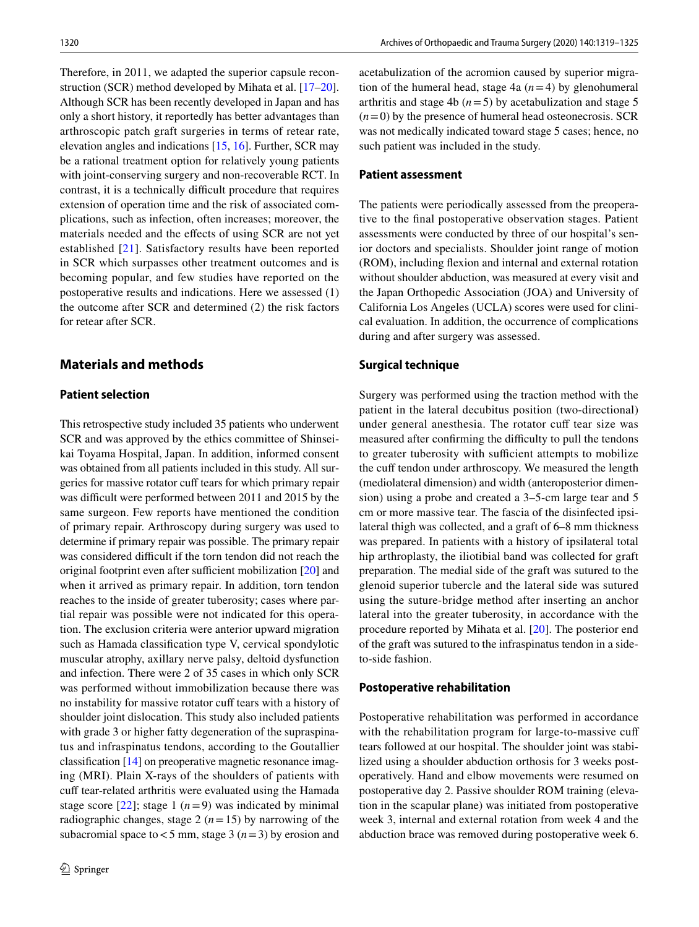Therefore, in 2011, we adapted the superior capsule reconstruction (SCR) method developed by Mihata et al. [\[17](#page-6-8)[–20](#page-6-9)]. Although SCR has been recently developed in Japan and has only a short history, it reportedly has better advantages than arthroscopic patch graft surgeries in terms of retear rate, elevation angles and indications [[15,](#page-6-6) [16\]](#page-6-7). Further, SCR may be a rational treatment option for relatively young patients with joint-conserving surgery and non-recoverable RCT. In contrast, it is a technically difficult procedure that requires extension of operation time and the risk of associated complications, such as infection, often increases; moreover, the materials needed and the efects of using SCR are not yet established [[21\]](#page-6-10). Satisfactory results have been reported in SCR which surpasses other treatment outcomes and is becoming popular, and few studies have reported on the postoperative results and indications. Here we assessed (1) the outcome after SCR and determined (2) the risk factors for retear after SCR.

# **Materials and methods**

### **Patient selection**

This retrospective study included 35 patients who underwent SCR and was approved by the ethics committee of Shinseikai Toyama Hospital, Japan. In addition, informed consent was obtained from all patients included in this study. All surgeries for massive rotator cuff tears for which primary repair was difficult were performed between 2011 and 2015 by the same surgeon. Few reports have mentioned the condition of primary repair. Arthroscopy during surgery was used to determine if primary repair was possible. The primary repair was considered difficult if the torn tendon did not reach the original footprint even after sufficient mobilization  $[20]$  $[20]$  and when it arrived as primary repair. In addition, torn tendon reaches to the inside of greater tuberosity; cases where partial repair was possible were not indicated for this operation. The exclusion criteria were anterior upward migration such as Hamada classifcation type V, cervical spondylotic muscular atrophy, axillary nerve palsy, deltoid dysfunction and infection. There were 2 of 35 cases in which only SCR was performed without immobilization because there was no instability for massive rotator cuff tears with a history of shoulder joint dislocation. This study also included patients with grade 3 or higher fatty degeneration of the supraspinatus and infraspinatus tendons, according to the Goutallier classifcation [[14\]](#page-6-5) on preoperative magnetic resonance imaging (MRI). Plain X-rays of the shoulders of patients with cuff tear-related arthritis were evaluated using the Hamada stage score  $[22]$  $[22]$ ; stage 1 ( $n=9$ ) was indicated by minimal radiographic changes, stage 2 ( $n=15$ ) by narrowing of the subacromial space to  $<$  5 mm, stage 3 ( $n=$  3) by erosion and acetabulization of the acromion caused by superior migration of the humeral head, stage 4a (*n*=4) by glenohumeral arthritis and stage 4b  $(n=5)$  by acetabulization and stage 5  $(n=0)$  by the presence of humeral head osteonecrosis. SCR was not medically indicated toward stage 5 cases; hence, no such patient was included in the study.

#### **Patient assessment**

The patients were periodically assessed from the preoperative to the fnal postoperative observation stages. Patient assessments were conducted by three of our hospital's senior doctors and specialists. Shoulder joint range of motion (ROM), including fexion and internal and external rotation without shoulder abduction, was measured at every visit and the Japan Orthopedic Association (JOA) and University of California Los Angeles (UCLA) scores were used for clinical evaluation. In addition, the occurrence of complications during and after surgery was assessed.

### **Surgical technique**

Surgery was performed using the traction method with the patient in the lateral decubitus position (two-directional) under general anesthesia. The rotator cuff tear size was measured after confirming the difficulty to pull the tendons to greater tuberosity with sufficient attempts to mobilize the cuff tendon under arthroscopy. We measured the length (mediolateral dimension) and width (anteroposterior dimension) using a probe and created a 3–5-cm large tear and 5 cm or more massive tear. The fascia of the disinfected ipsilateral thigh was collected, and a graft of 6–8 mm thickness was prepared. In patients with a history of ipsilateral total hip arthroplasty, the iliotibial band was collected for graft preparation. The medial side of the graft was sutured to the glenoid superior tubercle and the lateral side was sutured using the suture-bridge method after inserting an anchor lateral into the greater tuberosity, in accordance with the procedure reported by Mihata et al. [\[20\]](#page-6-9). The posterior end of the graft was sutured to the infraspinatus tendon in a sideto-side fashion.

#### **Postoperative rehabilitation**

Postoperative rehabilitation was performed in accordance with the rehabilitation program for large-to-massive cuff tears followed at our hospital. The shoulder joint was stabilized using a shoulder abduction orthosis for 3 weeks postoperatively. Hand and elbow movements were resumed on postoperative day 2. Passive shoulder ROM training (elevation in the scapular plane) was initiated from postoperative week 3, internal and external rotation from week 4 and the abduction brace was removed during postoperative week 6.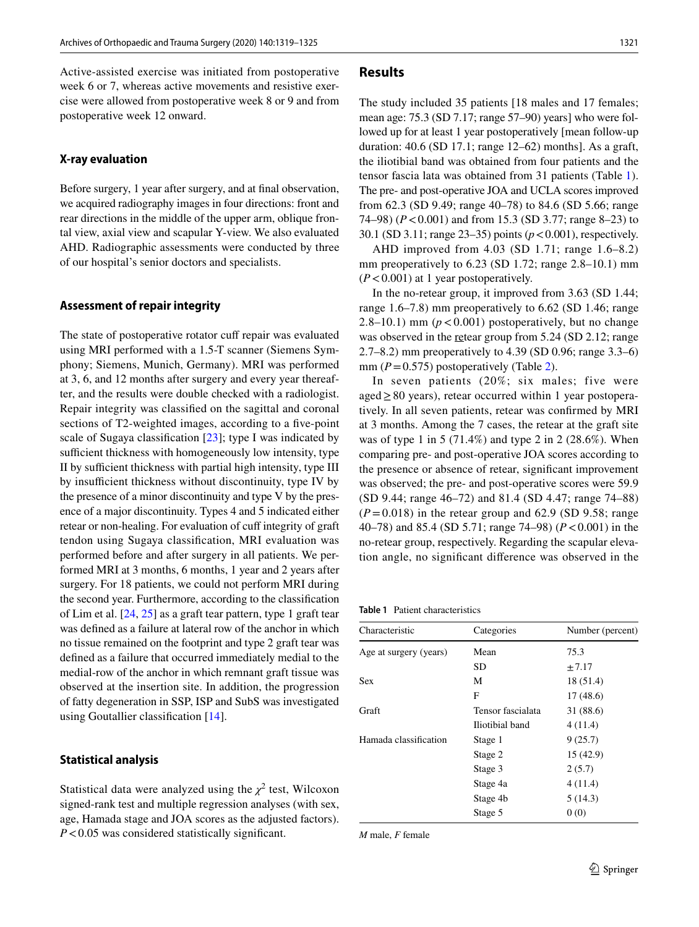Active-assisted exercise was initiated from postoperative week 6 or 7, whereas active movements and resistive exercise were allowed from postoperative week 8 or 9 and from postoperative week 12 onward.

#### **X‑ray evaluation**

Before surgery, 1 year after surgery, and at fnal observation, we acquired radiography images in four directions: front and rear directions in the middle of the upper arm, oblique frontal view, axial view and scapular Y-view. We also evaluated AHD. Radiographic assessments were conducted by three of our hospital's senior doctors and specialists.

#### **Assessment of repair integrity**

The state of postoperative rotator cuff repair was evaluated using MRI performed with a 1.5-T scanner (Siemens Symphony; Siemens, Munich, Germany). MRI was performed at 3, 6, and 12 months after surgery and every year thereafter, and the results were double checked with a radiologist. Repair integrity was classifed on the sagittal and coronal sections of T2-weighted images, according to a five-point scale of Sugaya classifcation [\[23](#page-6-12)]; type I was indicated by sufficient thickness with homogeneously low intensity, type II by sufficient thickness with partial high intensity, type III by insufficient thickness without discontinuity, type IV by the presence of a minor discontinuity and type V by the presence of a major discontinuity. Types 4 and 5 indicated either retear or non-healing. For evaluation of cuff integrity of graft tendon using Sugaya classifcation, MRI evaluation was performed before and after surgery in all patients. We performed MRI at 3 months, 6 months, 1 year and 2 years after surgery. For 18 patients, we could not perform MRI during the second year. Furthermore, according to the classifcation of Lim et al. [[24,](#page-6-13) [25\]](#page-6-14) as a graft tear pattern, type 1 graft tear was defned as a failure at lateral row of the anchor in which no tissue remained on the footprint and type 2 graft tear was defned as a failure that occurred immediately medial to the medial-row of the anchor in which remnant graft tissue was observed at the insertion site. In addition, the progression of fatty degeneration in SSP, ISP and SubS was investigated using Goutallier classifcation [[14\]](#page-6-5).

#### **Statistical analysis**

Statistical data were analyzed using the  $\chi^2$  test, Wilcoxon signed-rank test and multiple regression analyses (with sex, age, Hamada stage and JOA scores as the adjusted factors). *P*<0.05 was considered statistically significant.

#### **Results**

The study included 35 patients [18 males and 17 females; mean age: 75.3 (SD 7.17; range 57–90) years] who were followed up for at least 1 year postoperatively [mean follow-up duration: 40.6 (SD 17.1; range 12–62) months]. As a graft, the iliotibial band was obtained from four patients and the tensor fascia lata was obtained from 31 patients (Table [1](#page-2-0)). The pre- and post-operative JOA and UCLA scores improved from 62.3 (SD 9.49; range 40–78) to 84.6 (SD 5.66; range 74–98) (*P*<0.001) and from 15.3 (SD 3.77; range 8–23) to 30.1 (SD 3.11; range 23–35) points (*p*<0.001), respectively.

AHD improved from 4.03 (SD 1.71; range 1.6–8.2) mm preoperatively to 6.23 (SD 1.72; range 2.8–10.1) mm (*P*<0.001) at 1 year postoperatively.

In the no-retear group, it improved from 3.63 (SD 1.44; range 1.6–7.8) mm preoperatively to 6.62 (SD 1.46; range 2.8–10.1) mm  $(p<0.001)$  postoperatively, but no change was observed in the retear group from 5.24 (SD 2.12; range 2.7–8.2) mm preoperatively to 4.39 (SD 0.96; range 3.3–6) mm  $(P=0.575)$  postoperatively (Table [2\)](#page-3-0).

In seven patients (20%; six males; five were  $aged \geq 80$  years), retear occurred within 1 year postoperatively. In all seven patients, retear was confrmed by MRI at 3 months. Among the 7 cases, the retear at the graft site was of type 1 in 5 (71.4%) and type 2 in 2 (28.6%). When comparing pre- and post-operative JOA scores according to the presence or absence of retear, signifcant improvement was observed; the pre- and post-operative scores were 59.9 (SD 9.44; range 46–72) and 81.4 (SD 4.47; range 74–88)  $(P=0.018)$  in the retear group and 62.9 (SD 9.58; range 40–78) and 85.4 (SD 5.71; range 74–98) (*P*<0.001) in the no-retear group, respectively. Regarding the scapular elevation angle, no signifcant diference was observed in the

<span id="page-2-0"></span>**Table 1** Patient characteristics

| Characteristic         | Categories        | Number (percent) |
|------------------------|-------------------|------------------|
| Age at surgery (years) | Mean              | 75.3             |
|                        | SD                | $\pm 7.17$       |
| <b>Sex</b>             | М                 | 18 (51.4)        |
|                        | F                 | 17(48.6)         |
| Graft                  | Tensor fascialata | 31 (88.6)        |
|                        | Iliotibial band   | 4 (11.4)         |
| Hamada classification  | Stage 1           | 9(25.7)          |
|                        | Stage 2           | 15(42.9)         |
|                        | Stage 3           | 2(5.7)           |
|                        | Stage 4a          | 4(11.4)          |
|                        | Stage 4b          | 5(14.3)          |
|                        | Stage 5           | 0(0)             |

*M* male, *F* female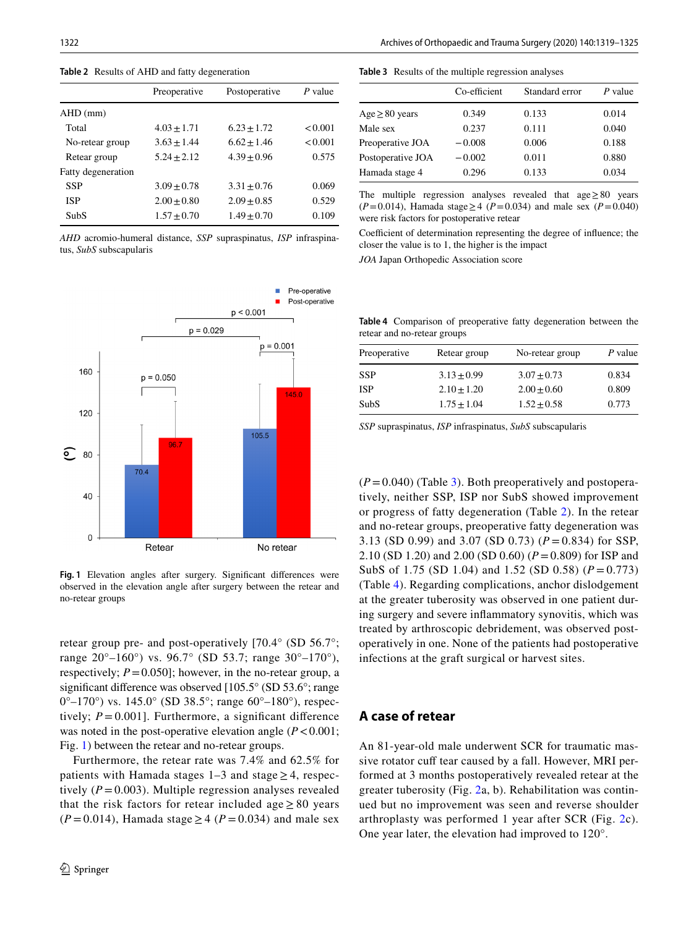<span id="page-3-0"></span>

|                    | Preoperative    | Postoperative   | P value |
|--------------------|-----------------|-----------------|---------|
| $AHD$ (mm)         |                 |                 |         |
| Total              | $4.03 \pm 1.71$ | $6.23 + 1.72$   | < 0.001 |
| No-retear group    | $3.63 \pm 1.44$ | $6.62 + 1.46$   | < 0.001 |
| Retear group       | $5.24 \pm 2.12$ | $4.39 + 0.96$   | 0.575   |
| Fatty degeneration |                 |                 |         |
| <b>SSP</b>         | $3.09 \pm 0.78$ | $3.31 \pm 0.76$ | 0.069   |
| <b>ISP</b>         | $2.00 \pm 0.80$ | $2.09 \pm 0.85$ | 0.529   |
| SubS               | $1.57 \pm 0.70$ | $1.49 \pm 0.70$ | 0.109   |

*AHD* acromio-humeral distance, *SSP* supraspinatus, *ISP* infraspinatus, *SubS* subscapularis



<span id="page-3-1"></span>Fig. 1 Elevation angles after surgery. Significant differences were observed in the elevation angle after surgery between the retear and no-retear groups

retear group pre- and post-operatively [70.4° (SD 56.7°; range 20°–160°) vs. 96.7° (SD 53.7; range 30°–170°), respectively;  $P = 0.050$ ; however, in the no-retear group, a significant difference was observed [105.5° (SD 53.6°; range 0°–170°) vs. 145.0° (SD 38.5°; range 60°–180°), respectively;  $P = 0.001$ . Furthermore, a significant difference was noted in the post-operative elevation angle  $(P < 0.001)$ ; Fig. [1](#page-3-1)) between the retear and no-retear groups.

Furthermore, the retear rate was 7.4% and 62.5% for patients with Hamada stages  $1-3$  and stage  $> 4$ , respectively  $(P=0.003)$ . Multiple regression analyses revealed that the risk factors for retear included age  $\geq 80$  years  $(P=0.014)$ , Hamada stage  $\geq 4$  ( $P=0.034$ ) and male sex

#### <span id="page-3-2"></span>**Table 3** Results of the multiple regression analyses

|                     | Co-efficient | Standard error | P value |
|---------------------|--------------|----------------|---------|
| $Age \geq 80$ years | 0.349        | 0.133          | 0.014   |
| Male sex            | 0.237        | 0.111          | 0.040   |
| Preoperative JOA    | $-0.008$     | 0.006          | 0.188   |
| Postoperative JOA   | $-0.002$     | 0.011          | 0.880   |
| Hamada stage 4      | 0.296        | 0.133          | 0.034   |

The multiple regression analyses revealed that age≥80 years  $(P=0.014)$ , Hamada stage  $\geq 4$  ( $P=0.034$ ) and male sex ( $P=0.040$ ) were risk factors for postoperative retear

Coefficient of determination representing the degree of influence; the closer the value is to 1, the higher is the impact

*JOA* Japan Orthopedic Association score

<span id="page-3-3"></span>**Table 4** Comparison of preoperative fatty degeneration between the retear and no-retear groups

| Preoperative | Retear group    | No-retear group | P value |
|--------------|-----------------|-----------------|---------|
| <b>SSP</b>   | $3.13 + 0.99$   | $3.07 + 0.73$   | 0.834   |
| <b>ISP</b>   | $2.10 + 1.20$   | $2.00 + 0.60$   | 0.809   |
| SubS         | $1.75 \pm 1.04$ | $1.52 + 0.58$   | 0.773   |

*SSP* supraspinatus, *ISP* infraspinatus, *SubS* subscapularis

 $(P=0.040)$  (Table [3\)](#page-3-2). Both preoperatively and postoperatively, neither SSP, ISP nor SubS showed improvement or progress of fatty degeneration (Table [2](#page-3-0)). In the retear and no-retear groups, preoperative fatty degeneration was 3.13 (SD 0.99) and 3.07 (SD 0.73) (*P* = 0.834) for SSP, 2.10 (SD 1.20) and 2.00 (SD 0.60) (*P*=0.809) for ISP and SubS of 1.75 (SD 1.04) and 1.52 (SD 0.58) (*P* = 0.773) (Table [4\)](#page-3-3). Regarding complications, anchor dislodgement at the greater tuberosity was observed in one patient during surgery and severe infammatory synovitis, which was treated by arthroscopic debridement, was observed postoperatively in one. None of the patients had postoperative infections at the graft surgical or harvest sites.

# **A case of retear**

An 81-year-old male underwent SCR for traumatic massive rotator cuff tear caused by a fall. However, MRI performed at 3 months postoperatively revealed retear at the greater tuberosity (Fig. [2](#page-4-0)a, b). Rehabilitation was continued but no improvement was seen and reverse shoulder arthroplasty was performed 1 year after SCR (Fig. [2](#page-4-0)c). One year later, the elevation had improved to 120°.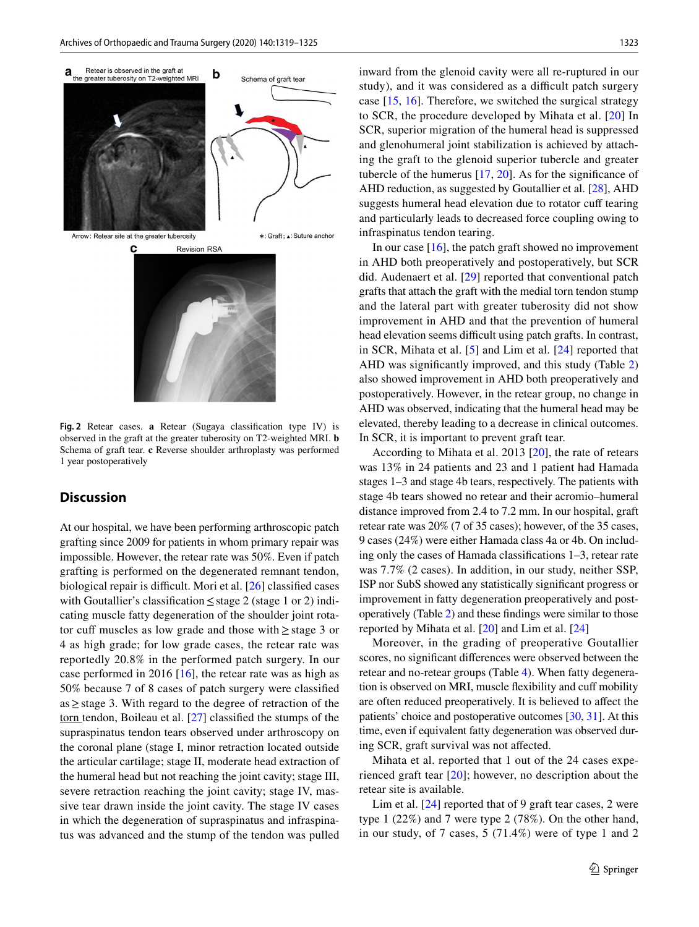

<span id="page-4-0"></span>**Fig. 2** Retear cases. **a** Retear (Sugaya classifcation type IV) is observed in the graft at the greater tuberosity on T2-weighted MRI. **b** Schema of graft tear. **c** Reverse shoulder arthroplasty was performed 1 year postoperatively

# **Discussion**

At our hospital, we have been performing arthroscopic patch grafting since 2009 for patients in whom primary repair was impossible. However, the retear rate was 50%. Even if patch grafting is performed on the degenerated remnant tendon, biological repair is difficult. Mori et al.  $[26]$  $[26]$  classified cases with Goutallier's classifcation≤stage 2 (stage 1 or 2) indicating muscle fatty degeneration of the shoulder joint rotator cuff muscles as low grade and those with  $\geq$  stage 3 or 4 as high grade; for low grade cases, the retear rate was reportedly 20.8% in the performed patch surgery. In our case performed in 2016 [\[16](#page-6-7)], the retear rate was as high as 50% because 7 of 8 cases of patch surgery were classifed as≥stage 3. With regard to the degree of retraction of the torn tendon, Boileau et al. [[27\]](#page-6-16) classifed the stumps of the supraspinatus tendon tears observed under arthroscopy on the coronal plane (stage I, minor retraction located outside the articular cartilage; stage II, moderate head extraction of the humeral head but not reaching the joint cavity; stage III, severe retraction reaching the joint cavity; stage IV, massive tear drawn inside the joint cavity. The stage IV cases in which the degeneration of supraspinatus and infraspinatus was advanced and the stump of the tendon was pulled inward from the glenoid cavity were all re-ruptured in our study), and it was considered as a difficult patch surgery case [[15,](#page-6-6) [16](#page-6-7)]. Therefore, we switched the surgical strategy to SCR, the procedure developed by Mihata et al. [[20](#page-6-9)] In SCR, superior migration of the humeral head is suppressed and glenohumeral joint stabilization is achieved by attaching the graft to the glenoid superior tubercle and greater tubercle of the humerus  $[17, 20]$  $[17, 20]$  $[17, 20]$ . As for the significance of AHD reduction, as suggested by Goutallier et al. [\[28](#page-6-17)], AHD suggests humeral head elevation due to rotator cuff tearing and particularly leads to decreased force coupling owing to infraspinatus tendon tearing.

In our case  $[16]$  $[16]$ , the patch graft showed no improvement in AHD both preoperatively and postoperatively, but SCR did. Audenaert et al. [\[29](#page-6-18)] reported that conventional patch grafts that attach the graft with the medial torn tendon stump and the lateral part with greater tuberosity did not show improvement in AHD and that the prevention of humeral head elevation seems difficult using patch grafts. In contrast, in SCR, Mihata et al. [[5](#page-5-4)] and Lim et al. [\[24](#page-6-13)] reported that AHD was signifcantly improved, and this study (Table [2\)](#page-3-0) also showed improvement in AHD both preoperatively and postoperatively. However, in the retear group, no change in AHD was observed, indicating that the humeral head may be elevated, thereby leading to a decrease in clinical outcomes. In SCR, it is important to prevent graft tear.

According to Mihata et al. 2013 [\[20](#page-6-9)], the rate of retears was 13% in 24 patients and 23 and 1 patient had Hamada stages 1–3 and stage 4b tears, respectively. The patients with stage 4b tears showed no retear and their acromio–humeral distance improved from 2.4 to 7.2 mm. In our hospital, graft retear rate was 20% (7 of 35 cases); however, of the 35 cases, 9 cases (24%) were either Hamada class 4a or 4b. On including only the cases of Hamada classifcations 1–3, retear rate was 7.7% (2 cases). In addition, in our study, neither SSP, ISP nor SubS showed any statistically signifcant progress or improvement in fatty degeneration preoperatively and postoperatively (Table [2\)](#page-3-0) and these fndings were similar to those reported by Mihata et al. [\[20](#page-6-9)] and Lim et al. [[24\]](#page-6-13)

Moreover, in the grading of preoperative Goutallier scores, no signifcant diferences were observed between the retear and no-retear groups (Table [4\)](#page-3-3). When fatty degeneration is observed on MRI, muscle fexibility and cuf mobility are often reduced preoperatively. It is believed to afect the patients' choice and postoperative outcomes [\[30](#page-6-19), [31\]](#page-6-20). At this time, even if equivalent fatty degeneration was observed during SCR, graft survival was not afected.

Mihata et al. reported that 1 out of the 24 cases experienced graft tear [\[20](#page-6-9)]; however, no description about the retear site is available.

Lim et al. [\[24](#page-6-13)] reported that of 9 graft tear cases, 2 were type 1 (22%) and 7 were type 2 (78%). On the other hand, in our study, of 7 cases, 5 (71.4%) were of type 1 and 2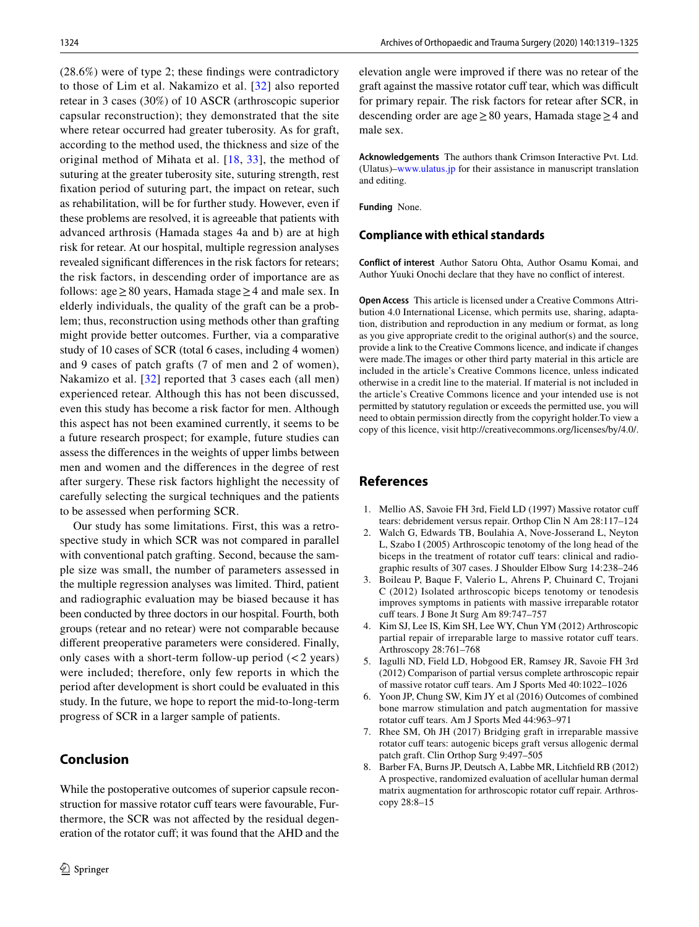(28.6%) were of type 2; these fndings were contradictory to those of Lim et al. Nakamizo et al. [\[32\]](#page-6-21) also reported retear in 3 cases (30%) of 10 ASCR (arthroscopic superior capsular reconstruction); they demonstrated that the site where retear occurred had greater tuberosity. As for graft, according to the method used, the thickness and size of the original method of Mihata et al. [[18](#page-6-22), [33\]](#page-6-23), the method of suturing at the greater tuberosity site, suturing strength, rest fxation period of suturing part, the impact on retear, such as rehabilitation, will be for further study. However, even if these problems are resolved, it is agreeable that patients with advanced arthrosis (Hamada stages 4a and b) are at high risk for retear. At our hospital, multiple regression analyses revealed signifcant diferences in the risk factors for retears; the risk factors, in descending order of importance are as follows: age  $\geq$  80 years, Hamada stage  $\geq$  4 and male sex. In elderly individuals, the quality of the graft can be a problem; thus, reconstruction using methods other than grafting might provide better outcomes. Further, via a comparative study of 10 cases of SCR (total 6 cases, including 4 women) and 9 cases of patch grafts (7 of men and 2 of women), Nakamizo et al. [\[32\]](#page-6-21) reported that 3 cases each (all men) experienced retear. Although this has not been discussed, even this study has become a risk factor for men. Although this aspect has not been examined currently, it seems to be a future research prospect; for example, future studies can assess the diferences in the weights of upper limbs between men and women and the diferences in the degree of rest after surgery. These risk factors highlight the necessity of carefully selecting the surgical techniques and the patients to be assessed when performing SCR.

Our study has some limitations. First, this was a retrospective study in which SCR was not compared in parallel with conventional patch grafting. Second, because the sample size was small, the number of parameters assessed in the multiple regression analyses was limited. Third, patient and radiographic evaluation may be biased because it has been conducted by three doctors in our hospital. Fourth, both groups (retear and no retear) were not comparable because diferent preoperative parameters were considered. Finally, only cases with a short-term follow-up period  $(< 2$  years) were included; therefore, only few reports in which the period after development is short could be evaluated in this study. In the future, we hope to report the mid-to-long-term progress of SCR in a larger sample of patients.

# **Conclusion**

While the postoperative outcomes of superior capsule reconstruction for massive rotator cuff tears were favourable, Furthermore, the SCR was not afected by the residual degeneration of the rotator cuf; it was found that the AHD and the elevation angle were improved if there was no retear of the graft against the massive rotator cuff tear, which was difficult for primary repair. The risk factors for retear after SCR, in descending order are age≥80 years, Hamada stage≥4 and male sex.

**Acknowledgements** The authors thank Crimson Interactive Pvt. Ltd. (Ulatus)–[www.ulatus.jp](http://www.ulatus.jp) for their assistance in manuscript translation and editing.

**Funding** None.

## **Compliance with ethical standards**

**Conflict of interest** Author Satoru Ohta, Author Osamu Komai, and Author Yuuki Onochi declare that they have no confict of interest.

**Open Access** This article is licensed under a Creative Commons Attribution 4.0 International License, which permits use, sharing, adaptation, distribution and reproduction in any medium or format, as long as you give appropriate credit to the original author(s) and the source, provide a link to the Creative Commons licence, and indicate if changes were made.The images or other third party material in this article are included in the article's Creative Commons licence, unless indicated otherwise in a credit line to the material. If material is not included in the article's Creative Commons licence and your intended use is not permitted by statutory regulation or exceeds the permitted use, you will need to obtain permission directly from the copyright holder.To view a copy of this licence, visit http://creativecommons.org/licenses/by/4.0/.

# **References**

- <span id="page-5-0"></span>1. Mellio AS, Savoie FH 3rd, Field LD (1997) Massive rotator cuf tears: debridement versus repair. Orthop Clin N Am 28:117–124
- <span id="page-5-1"></span>2. Walch G, Edwards TB, Boulahia A, Nove-Josserand L, Neyton L, Szabo I (2005) Arthroscopic tenotomy of the long head of the biceps in the treatment of rotator cuff tears: clinical and radiographic results of 307 cases. J Shoulder Elbow Surg 14:238–246
- <span id="page-5-2"></span>3. Boileau P, Baque F, Valerio L, Ahrens P, Chuinard C, Trojani C (2012) Isolated arthroscopic biceps tenotomy or tenodesis improves symptoms in patients with massive irreparable rotator cuff tears. J Bone Jt Surg Am 89:747-757
- <span id="page-5-3"></span>4. Kim SJ, Lee IS, Kim SH, Lee WY, Chun YM (2012) Arthroscopic partial repair of irreparable large to massive rotator cuff tears. Arthroscopy 28:761–768
- <span id="page-5-4"></span>5. Iagulli ND, Field LD, Hobgood ER, Ramsey JR, Savoie FH 3rd (2012) Comparison of partial versus complete arthroscopic repair of massive rotator cuff tears. Am J Sports Med 40:1022-1026
- <span id="page-5-5"></span>6. Yoon JP, Chung SW, Kim JY et al (2016) Outcomes of combined bone marrow stimulation and patch augmentation for massive rotator cuff tears. Am J Sports Med 44:963-971
- 7. Rhee SM, Oh JH (2017) Bridging graft in irreparable massive rotator cuff tears: autogenic biceps graft versus allogenic dermal patch graft. Clin Orthop Surg 9:497–505
- <span id="page-5-6"></span>8. Barber FA, Burns JP, Deutsch A, Labbe MR, Litchfeld RB (2012) A prospective, randomized evaluation of acellular human dermal matrix augmentation for arthroscopic rotator cuff repair. Arthroscopy 28:8–15